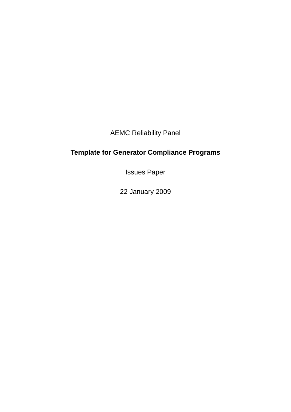AEMC Reliability Panel

# **Template for Generator Compliance Programs**

Issues Paper

22 January 2009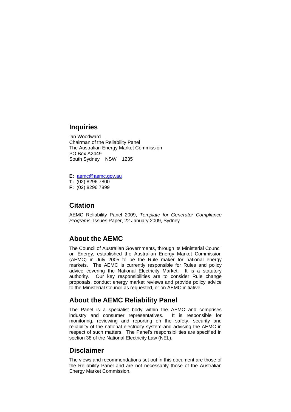### **Inquiries**

Ian Woodward Chairman of the Reliability Panel The Australian Energy Market Commission PO Box A2449 South Sydney NSW 1235

**E:** aemc@aemc.gov.au **T:** (02) 8296 7800 **F:** (02) 8296 7899

### **Citation**

AEMC Reliability Panel 2009, *Template for Generator Compliance Programs*, Issues Paper, 22 January 2009, Sydney

### **About the AEMC**

The Council of Australian Governments, through its Ministerial Council on Energy, established the Australian Energy Market Commission (AEMC) in July 2005 to be the Rule maker for national energy markets. The AEMC is currently responsible for Rules and policy advice covering the National Electricity Market. It is a statutory authority. Our key responsibilities are to consider Rule change proposals, conduct energy market reviews and provide policy advice to the Ministerial Council as requested, or on AEMC initiative.

### **About the AEMC Reliability Panel**

The Panel is a specialist body within the AEMC and comprises industry and consumer representatives. It is responsible for monitoring, reviewing and reporting on the safety, security and reliability of the national electricity system and advising the AEMC in respect of such matters. The Panel's responsibilities are specified in section 38 of the National Electricity Law (NEL).

#### **Disclaimer**

The views and recommendations set out in this document are those of the Reliability Panel and are not necessarily those of the Australian Energy Market Commission.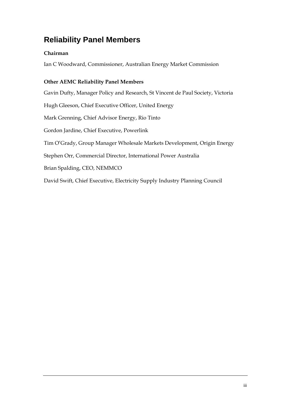# **Reliability Panel Members**

### **Chairman**

Ian C Woodward, Commissioner, Australian Energy Market Commission

### **Other AEMC Reliability Panel Members**

Gavin Dufty, Manager Policy and Research, St Vincent de Paul Society, Victoria Hugh Gleeson, Chief Executive Officer, United Energy Mark Grenning, Chief Advisor Energy, Rio Tinto Gordon Jardine, Chief Executive, Powerlink Tim O'Grady, Group Manager Wholesale Markets Development, Origin Energy Stephen Orr, Commercial Director, International Power Australia Brian Spalding, CEO, NEMMCO David Swift, Chief Executive, Electricity Supply Industry Planning Council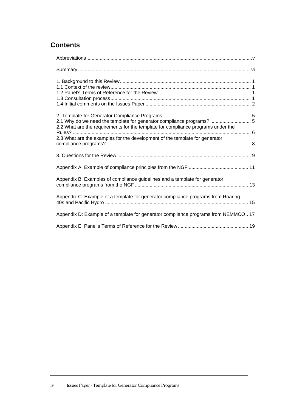## **Contents**

| 2.1 Why do we need the template for generator compliance programs?  5<br>2.2 What are the requirements for the template for compliance programs under the<br>2.3 What are the examples for the development of the template for generator |
|------------------------------------------------------------------------------------------------------------------------------------------------------------------------------------------------------------------------------------------|
|                                                                                                                                                                                                                                          |
|                                                                                                                                                                                                                                          |
| Appendix B: Examples of compliance guidelines and a template for generator                                                                                                                                                               |
| Appendix C: Example of a template for generator compliance programs from Roaring                                                                                                                                                         |
| Appendix D: Example of a template for generator compliance programs from NEMMCO 17                                                                                                                                                       |
|                                                                                                                                                                                                                                          |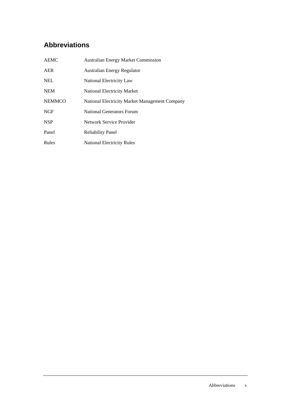# **Abbreviations**

| <b>AEMC</b>   | <b>Australian Energy Market Commission</b>     |
|---------------|------------------------------------------------|
| AER           | <b>Australian Energy Regulator</b>             |
| <b>NEL</b>    | National Electricity Law                       |
| <b>NEM</b>    | <b>National Electricity Market</b>             |
| <b>NEMMCO</b> | National Electricity Market Management Company |
| <b>NGF</b>    | National Generators Forum                      |
| <b>NSP</b>    | Network Service Provider                       |
| Panel         | <b>Reliability Panel</b>                       |
| Rules         | <b>National Electricity Rules</b>              |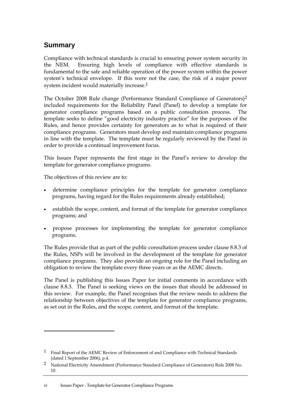### **Summary**

Compliance with technical standards is crucial to ensuring power system security in the NEM. Ensuring high levels of compliance with effective standards is fundamental to the safe and reliable operation of the power system within the power system's technical envelope. If this were not the case, the risk of a major power system incident would materially increase.1

The October 2008 Rule change (Performance Standard Compliance of Generators)2 included requirements for the Reliability Panel (Panel) to develop a template for generator compliance programs based on a public consultation process. The template seeks to define "good electricity industry practice" for the purposes of the Rules, and hence provides certainty for generators as to what is required of their compliance programs. Generators must develop and maintain compliance programs in line with the template. The template must be regularly reviewed by the Panel in order to provide a continual improvement focus.

This Issues Paper represents the first stage in the Panel's review to develop the template for generator compliance programs.

The objectives of this review are to:

 $\overline{a}$ 

- determine compliance principles for the template for generator compliance programs, having regard for the Rules requirements already established;
- establish the scope, content, and format of the template for generator compliance programs; and
- propose processes for implementing the template for generator compliance programs.

The Rules provide that as part of the public consultation process under clause 8.8.3 of the Rules, NSPs will be involved in the development of the template for generator compliance programs. They also provide an ongoing role for the Panel including an obligation to review the template every three years or as the AEMC directs.

The Panel is publishing this Issues Paper for initial comments in accordance with clause 8.8.3. The Panel is seeking views on the issues that should be addressed in this review. For example, the Panel recognises that the review needs to address the relationship between objectives of the template for generator compliance programs, as set out in the Rules, and the scope, content, and format of the template.

<sup>1</sup> Final Report of the AEMC Review of Enforcement of and Compliance with Technical Standards (dated 1 September 2006), p.4.

<sup>2</sup> National Electricity Amendment (Performance Standard Compliance of Generators) Rule 2008 No. 10.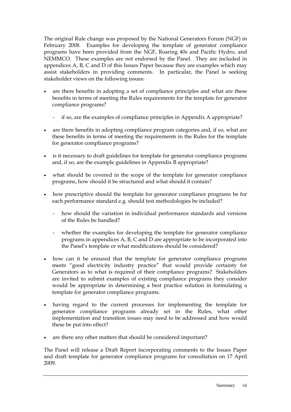The original Rule change was proposed by the National Generators Forum (NGF) in February 2008. Examples for developing the template of generator compliance programs have been provided from the NGF, Roaring 40s and Pacific Hydro, and NEMMCO. These examples are not endorsed by the Panel. They are included in appendices A, B, C and D of this Issues Paper because they are examples which may assist stakeholders in providing comments. In particular, the Panel is seeking stakeholder views on the following issues:

- are there benefits in adopting a set of compliance principles and what are these benefits in terms of meeting the Rules requirements for the template for generator compliance programs?
	- if so, are the examples of compliance principles in Appendix A appropriate?
- are there benefits in adopting compliance program categories and, if so, what are these benefits in terms of meeting the requirements in the Rules for the template for generator compliance programs?
- is it necessary to draft guidelines for template for generator compliance programs and, if so, are the example guidelines in Appendix B appropriate?
- what should be covered in the scope of the template for generator compliance programs, how should it be structured and what should it contain?
- how prescriptive should the template for generator compliance programs be for each performance standard e.g. should test methodologies be included?
	- how should the variation in individual performance standards and versions of the Rules be handled?
	- whether the examples for developing the template for generator compliance programs in appendices A, B, C and D are appropriate to be incorporated into the Panel's template or what modifications should be considered?
- how can it be ensured that the template for generator compliance programs meets "good electricity industry practice" that would provide certainty for Generators as to what is required of their compliance programs? Stakeholders are invited to submit examples of existing compliance programs they consider would be appropriate in determining a best practice solution in formulating a template for generator compliance programs.
- having regard to the current processes for implementing the template for generator compliance programs already set in the Rules, what other implementation and transition issues may need to be addressed and how would these be put into effect?
- are there any other matters that should be considered important?

The Panel will release a Draft Report incorporating comments to the Issues Paper and draft template for generator compliance programs for consultation on 17 April 2009.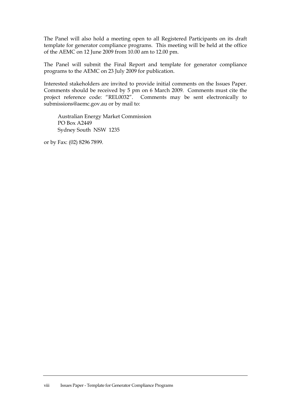The Panel will also hold a meeting open to all Registered Participants on its draft template for generator compliance programs. This meeting will be held at the office of the AEMC on 12 June 2009 from 10.00 am to 12.00 pm.

The Panel will submit the Final Report and template for generator compliance programs to the AEMC on 23 July 2009 for publication.

Interested stakeholders are invited to provide initial comments on the Issues Paper. Comments should be received by 5 pm on 6 March 2009. Comments must cite the project reference code: "REL0032". Comments may be sent electronically to submissions@aemc.gov.au or by mail to:

 Australian Energy Market Commission PO Box A2449 Sydney South NSW 1235

or by Fax: (02) 8296 7899.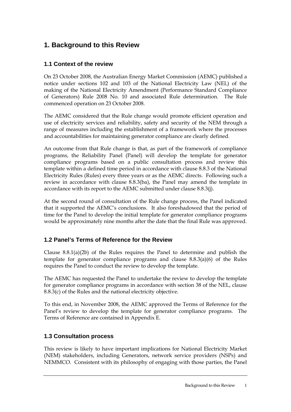## **1. Background to this Review**

### **1.1 Context of the review**

On 23 October 2008, the Australian Energy Market Commission (AEMC) published a notice under sections 102 and 103 of the National Electricity Law (NEL) of the making of the National Electricity Amendment (Performance Standard Compliance of Generators) Rule 2008 No. 10 and associated Rule determination. The Rule commenced operation on 23 October 2008.

The AEMC considered that the Rule change would promote efficient operation and use of electricity services and reliability, safety and security of the NEM through a range of measures including the establishment of a framework where the processes and accountabilities for maintaining generator compliance are clearly defined.

An outcome from that Rule change is that, as part of the framework of compliance programs, the Reliability Panel (Panel) will develop the template for generator compliance programs based on a public consultation process and review this template within a defined time period in accordance with clause 8.8.3 of the National Electricity Rules (Rules) every three years or as the AEMC directs. Following such a review in accordance with clause 8.8.3(ba), the Panel may amend the template in accordance with its report to the AEMC submitted under clause 8.8.3(j).

At the second round of consultation of the Rule change process, the Panel indicated that it supported the AEMC's conclusions. It also foreshadowed that the period of time for the Panel to develop the initial template for generator compliance programs would be approximately nine months after the date that the final Rule was approved.

### **1.2 Panel's Terms of Reference for the Review**

Clause  $8.8.1(a)(2b)$  of the Rules requires the Panel to determine and publish the template for generator compliance programs and clause 8.8.3(a)(6) of the Rules requires the Panel to conduct the review to develop the template.

The AEMC has requested the Panel to undertake the review to develop the template for generator compliance programs in accordance with section 38 of the NEL, clause 8.8.3(c) of the Rules and the national electricity objective.

To this end, in November 2008, the AEMC approved the Terms of Reference for the Panel's review to develop the template for generator compliance programs. The Terms of Reference are contained in Appendix E.

### **1.3 Consultation process**

This review is likely to have important implications for National Electricity Market (NEM) stakeholders, including Generators, network service providers (NSPs) and NEMMCO. Consistent with its philosophy of engaging with those parties, the Panel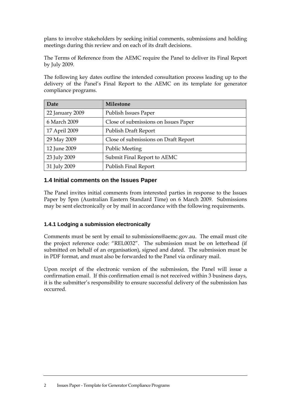plans to involve stakeholders by seeking initial comments, submissions and holding meetings during this review and on each of its draft decisions.

The Terms of Reference from the AEMC require the Panel to deliver its Final Report by July 2009.

The following key dates outline the intended consultation process leading up to the delivery of the Panel's Final Report to the AEMC on its template for generator compliance programs.

| Date            | <b>Milestone</b>                     |
|-----------------|--------------------------------------|
| 22 January 2009 | Publish Issues Paper                 |
| 6 March 2009    | Close of submissions on Issues Paper |
| 17 April 2009   | Publish Draft Report                 |
| 29 May 2009     | Close of submissions on Draft Report |
| 12 June 2009    | <b>Public Meeting</b>                |
| 23 July 2009    | Submit Final Report to AEMC          |
| 31 July 2009    | <b>Publish Final Report</b>          |

#### **1.4 Initial comments on the Issues Paper**

The Panel invites initial comments from interested parties in response to the Issues Paper by 5pm (Australian Eastern Standard Time) on 6 March 2009. Submissions may be sent electronically or by mail in accordance with the following requirements.

#### **1.4.1 Lodging a submission electronically**

Comments must be sent by email to submissions@aemc.gov.au. The email must cite the project reference code: "REL0032". The submission must be on letterhead (if submitted on behalf of an organisation), signed and dated. The submission must be in PDF format, and must also be forwarded to the Panel via ordinary mail.

Upon receipt of the electronic version of the submission, the Panel will issue a confirmation email. If this confirmation email is not received within 3 business days, it is the submitter's responsibility to ensure successful delivery of the submission has occurred.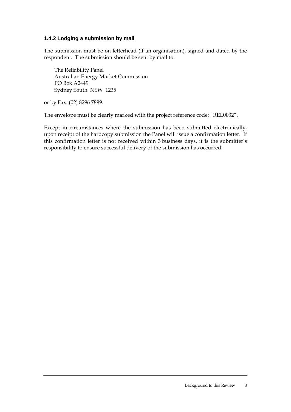#### **1.4.2 Lodging a submission by mail**

The submission must be on letterhead (if an organisation), signed and dated by the respondent. The submission should be sent by mail to:

The Reliability Panel Australian Energy Market Commission PO Box A2449 Sydney South NSW 1235

or by Fax: (02) 8296 7899.

The envelope must be clearly marked with the project reference code: "REL0032".

Except in circumstances where the submission has been submitted electronically, upon receipt of the hardcopy submission the Panel will issue a confirmation letter. If this confirmation letter is not received within 3 business days, it is the submitter's responsibility to ensure successful delivery of the submission has occurred.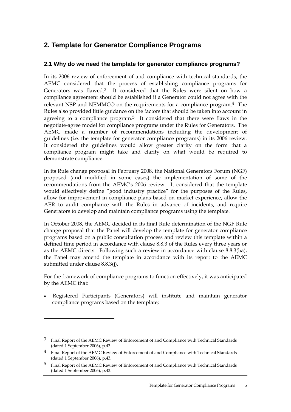### **2. Template for Generator Compliance Programs**

### **2.1 Why do we need the template for generator compliance programs?**

In its 2006 review of enforcement of and compliance with technical standards, the AEMC considered that the process of establishing compliance programs for Generators was flawed.<sup>3</sup> It considered that the Rules were silent on how a compliance agreement should be established if a Generator could not agree with the relevant NSP and NEMMCO on the requirements for a compliance program.4 The Rules also provided little guidance on the factors that should be taken into account in agreeing to a compliance program.<sup>5</sup> It considered that there were flaws in the negotiate-agree model for compliance programs under the Rules for Generators. The AEMC made a number of recommendations including the development of guidelines (i.e. the template for generator compliance programs) in its 2006 review. It considered the guidelines would allow greater clarity on the form that a compliance program might take and clarity on what would be required to demonstrate compliance.

In its Rule change proposal in February 2008, the National Generators Forum (NGF) proposed (and modified in some cases) the implementation of some of the recommendations from the AEMC's 2006 review. It considered that the template would effectively define "good industry practice" for the purposes of the Rules, allow for improvement in compliance plans based on market experience, allow the AER to audit compliance with the Rules in advance of incidents, and require Generators to develop and maintain compliance programs using the template.

In October 2008, the AEMC decided in its final Rule determination of the NGF Rule change proposal that the Panel will develop the template for generator compliance programs based on a public consultation process and review this template within a defined time period in accordance with clause 8.8.3 of the Rules every three years or as the AEMC directs. Following such a review in accordance with clause 8.8.3(ba), the Panel may amend the template in accordance with its report to the AEMC submitted under clause 8.8.3(j).

For the framework of compliance programs to function effectively, it was anticipated by the AEMC that:

• Registered Participants (Generators) will institute and maintain generator compliance programs based on the template;

 $\overline{a}$ 

<sup>3</sup> Final Report of the AEMC Review of Enforcement of and Compliance with Technical Standards (dated 1 September 2006), p.43.

<sup>4</sup> Final Report of the AEMC Review of Enforcement of and Compliance with Technical Standards (dated 1 September 2006), p.43.

<sup>5</sup> Final Report of the AEMC Review of Enforcement of and Compliance with Technical Standards (dated 1 September 2006), p.43.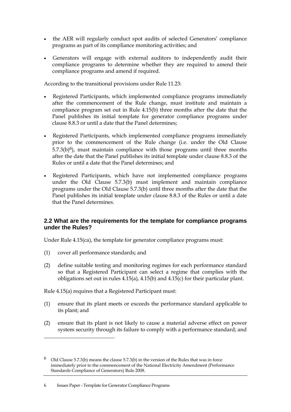- the AER will regularly conduct spot audits of selected Generators' compliance programs as part of its compliance monitoring activities; and
- Generators will engage with external auditors to independently audit their compliance programs to determine whether they are required to amend their compliance programs and amend if required.

According to the transitional provisions under Rule 11.23:

- Registered Participants, which implemented compliance programs immediately after the commencement of the Rule change, must institute and maintain a compliance program set out in Rule 4.15(b) three months after the date that the Panel publishes its initial template for generator compliance programs under clause 8.8.3 or until a date that the Panel determines;
- Registered Participants, which implemented compliance programs immediately prior to the commencement of the Rule change (i.e. under the Old Clause  $5.7.3(b)^6$ ), must maintain compliance with those programs until three months after the date that the Panel publishes its initial template under clause 8.8.3 of the Rules or until a date that the Panel determines; and
- Registered Participants, which have not implemented compliance programs under the Old Clause 5.7.3(b) must implement and maintain compliance programs under the Old Clause 5.7.3(b) until three months after the date that the Panel publishes its initial template under clause 8.8.3 of the Rules or until a date that the Panel determines.

#### **2.2 What are the requirements for the template for compliance programs under the Rules?**

Under Rule 4.15(ca), the template for generator compliance programs must:

(1) cover all performance standards; and

 $\overline{a}$ 

(2) define suitable testing and monitoring regimes for each performance standard so that a Registered Participant can select a regime that complies with the obligations set out in rules 4.15(a), 4.15(b) and 4.15(c) for their particular plant.

Rule 4.15(a) requires that a Registered Participant must:

- (1) ensure that its plant meets or exceeds the performance standard applicable to its plant; and
- (2) ensure that its plant is not likely to cause a material adverse effect on power system security through its failure to comply with a performance standard; and

#### 6 Issues Paper - Template for Generator Compliance Programs

<sup>&</sup>lt;sup>6</sup> Old Clause 5.7.3(b) means the clause 5.7.3(b) in the version of the Rules that was in force immediately prior to the commencement of the National Electricity Amendment (Performance Standards Compliance of Generators) Rule 2008.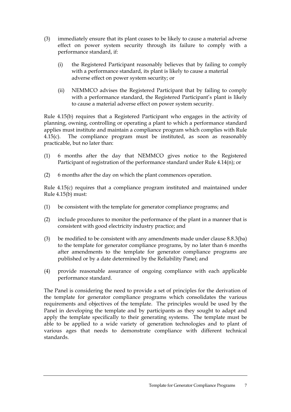- (3) immediately ensure that its plant ceases to be likely to cause a material adverse effect on power system security through its failure to comply with a performance standard, if:
	- (i) the Registered Participant reasonably believes that by failing to comply with a performance standard, its plant is likely to cause a material adverse effect on power system security; or
	- (ii) NEMMCO advises the Registered Participant that by failing to comply with a performance standard, the Registered Participant's plant is likely to cause a material adverse effect on power system security.

Rule 4.15(b) requires that a Registered Participant who engages in the activity of planning, owning, controlling or operating a plant to which a performance standard applies must institute and maintain a compliance program which complies with Rule 4.15(c). The compliance program must be instituted, as soon as reasonably practicable, but no later than:

- (1) 6 months after the day that NEMMCO gives notice to the Registered Participant of registration of the performance standard under Rule 4.14(n); or
- (2) 6 months after the day on which the plant commences operation.

Rule 4.15(c) requires that a compliance program instituted and maintained under Rule 4.15(b) must:

- (1) be consistent with the template for generator compliance programs; and
- (2) include procedures to monitor the performance of the plant in a manner that is consistent with good electricity industry practice; and
- (3) be modified to be consistent with any amendments made under clause 8.8.3(ba) to the template for generator compliance programs, by no later than 6 months after amendments to the template for generator compliance programs are published or by a date determined by the Reliability Panel; and
- (4) provide reasonable assurance of ongoing compliance with each applicable performance standard.

The Panel is considering the need to provide a set of principles for the derivation of the template for generator compliance programs which consolidates the various requirements and objectives of the template. The principles would be used by the Panel in developing the template and by participants as they sought to adapt and apply the template specifically to their generating systems. The template must be able to be applied to a wide variety of generation technologies and to plant of various ages that needs to demonstrate compliance with different technical standards.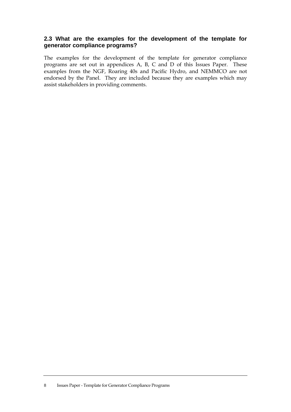### **2.3 What are the examples for the development of the template for generator compliance programs?**

The examples for the development of the template for generator compliance programs are set out in appendices A, B, C and D of this Issues Paper. These examples from the NGF, Roaring 40s and Pacific Hydro, and NEMMCO are not endorsed by the Panel. They are included because they are examples which may assist stakeholders in providing comments.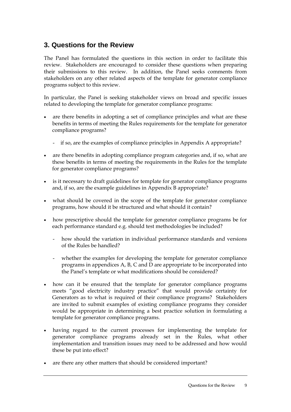### **3. Questions for the Review**

The Panel has formulated the questions in this section in order to facilitate this review. Stakeholders are encouraged to consider these questions when preparing their submissions to this review. In addition, the Panel seeks comments from stakeholders on any other related aspects of the template for generator compliance programs subject to this review.

In particular, the Panel is seeking stakeholder views on broad and specific issues related to developing the template for generator compliance programs:

- are there benefits in adopting a set of compliance principles and what are these benefits in terms of meeting the Rules requirements for the template for generator compliance programs?
	- if so, are the examples of compliance principles in Appendix A appropriate?
- are there benefits in adopting compliance program categories and, if so, what are these benefits in terms of meeting the requirements in the Rules for the template for generator compliance programs?
- is it necessary to draft guidelines for template for generator compliance programs and, if so, are the example guidelines in Appendix B appropriate?
- what should be covered in the scope of the template for generator compliance programs, how should it be structured and what should it contain?
- how prescriptive should the template for generator compliance programs be for each performance standard e.g. should test methodologies be included?
	- how should the variation in individual performance standards and versions of the Rules be handled?
	- whether the examples for developing the template for generator compliance programs in appendices A, B, C and D are appropriate to be incorporated into the Panel's template or what modifications should be considered?
- how can it be ensured that the template for generator compliance programs meets "good electricity industry practice" that would provide certainty for Generators as to what is required of their compliance programs? Stakeholders are invited to submit examples of existing compliance programs they consider would be appropriate in determining a best practice solution in formulating a template for generator compliance programs.
- having regard to the current processes for implementing the template for generator compliance programs already set in the Rules, what other implementation and transition issues may need to be addressed and how would these be put into effect?
- are there any other matters that should be considered important?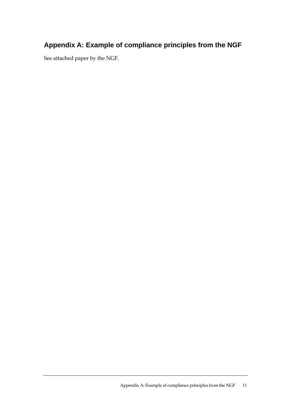# **Appendix A: Example of compliance principles from the NGF**

See attached paper by the NGF.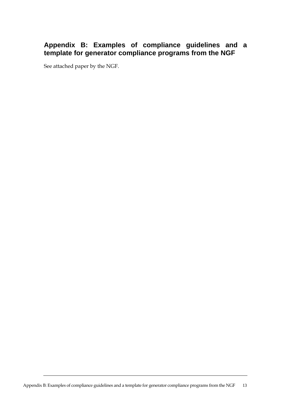### **Appendix B: Examples of compliance guidelines and a template for generator compliance programs from the NGF**

See attached paper by the NGF.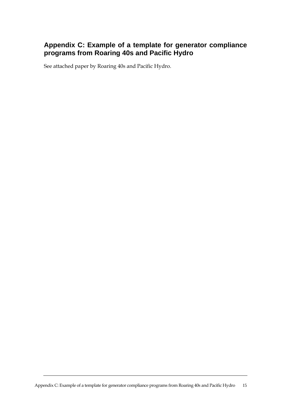### **Appendix C: Example of a template for generator compliance programs from Roaring 40s and Pacific Hydro**

See attached paper by Roaring 40s and Pacific Hydro.

Appendix C: Example of a template for generator compliance programs from Roaring 40s and Pacific Hydro 15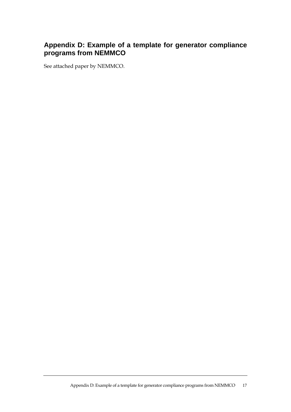### **Appendix D: Example of a template for generator compliance programs from NEMMCO**

See attached paper by NEMMCO.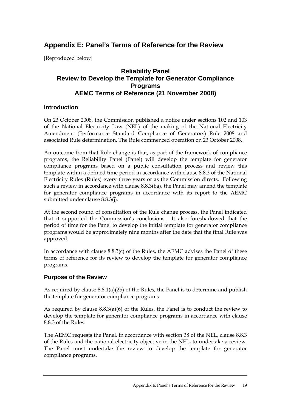## **Appendix E: Panel's Terms of Reference for the Review**

[Reproduced below]

### **Reliability Panel Review to Develop the Template for Generator Compliance Programs AEMC Terms of Reference (21 November 2008)**

#### **Introduction**

On 23 October 2008, the Commission published a notice under sections 102 and 103 of the National Electricity Law (NEL) of the making of the National Electricity Amendment (Performance Standard Compliance of Generators) Rule 2008 and associated Rule determination. The Rule commenced operation on 23 October 2008.

An outcome from that Rule change is that, as part of the framework of compliance programs, the Reliability Panel (Panel) will develop the template for generator compliance programs based on a public consultation process and review this template within a defined time period in accordance with clause 8.8.3 of the National Electricity Rules (Rules) every three years or as the Commission directs. Following such a review in accordance with clause 8.8.3(ba), the Panel may amend the template for generator compliance programs in accordance with its report to the AEMC submitted under clause 8.8.3(j).

At the second round of consultation of the Rule change process, the Panel indicated that it supported the Commission's conclusions. It also foreshadowed that the period of time for the Panel to develop the initial template for generator compliance programs would be approximately nine months after the date that the final Rule was approved.

In accordance with clause 8.8.3(c) of the Rules, the AEMC advises the Panel of these terms of reference for its review to develop the template for generator compliance programs.

### **Purpose of the Review**

As required by clause 8.8.1(a)(2b) of the Rules, the Panel is to determine and publish the template for generator compliance programs.

As required by clause 8.8.3(a)(6) of the Rules, the Panel is to conduct the review to develop the template for generator compliance programs in accordance with clause 8.8.3 of the Rules.

The AEMC requests the Panel, in accordance with section 38 of the NEL, clause 8.8.3 of the Rules and the national electricity objective in the NEL, to undertake a review. The Panel must undertake the review to develop the template for generator compliance programs.